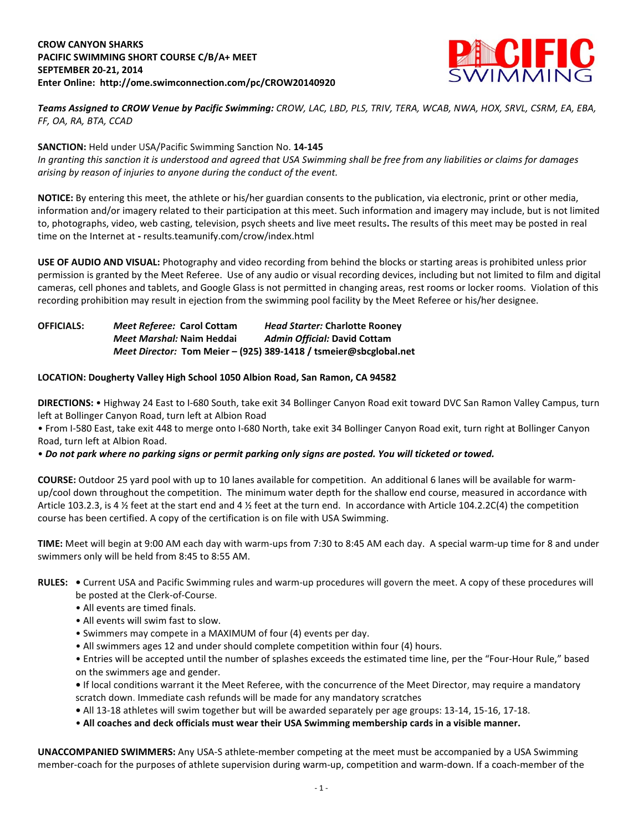# **CROW CANYON SHARKS PACIFIC SWIMMING SHORT COURSE C/B/A+ MEET SEPTEMBER 20-21, 2014 Enter Online: http://ome.swimconnection.com/pc/CROW20140920**



*Teams Assigned to CROW Venue by Pacific Swimming: CROW, LAC, LBD, PLS, TRIV, TERA, WCAB, NWA, HOX, SRVL, CSRM, EA, EBA, FF, OA, RA, BTA, CCAD*

### **SANCTION:** Held under USA/Pacific Swimming Sanction No. **14-145**

*In granting this sanction it is understood and agreed that USA Swimming shall be free from any liabilities or claims for damages arising by reason of injuries to anyone during the conduct of the event.*

**NOTICE:** By entering this meet, the athlete or his/her guardian consents to the publication, via electronic, print or other media, information and/or imagery related to their participation at this meet. Such information and imagery may include, but is not limited to, photographs, video, web casting, television, psych sheets and live meet results**.** The results of this meet may be posted in real time on the Internet at **-** results.teamunify.com/crow/index.html

**USE OF AUDIO AND VISUAL:** Photography and video recording from behind the blocks or starting areas is prohibited unless prior permission is granted by the Meet Referee. Use of any audio or visual recording devices, including but not limited to film and digital cameras, cell phones and tablets, and Google Glass is not permitted in changing areas, rest rooms or locker rooms. Violation of this recording prohibition may result in ejection from the swimming pool facility by the Meet Referee or his/her designee.

| <b>OFFICIALS:</b> | Meet Referee: Carol Cottam | <b>Head Starter: Charlotte Rooney</b>                             |
|-------------------|----------------------------|-------------------------------------------------------------------|
|                   | Meet Marshal: Naim Heddai  | Admin Official: David Cottam                                      |
|                   |                            | Meet Director: Tom Meier - (925) 389-1418 / tsmeier@sbcglobal.net |

# **LOCATION: Dougherty Valley High School 1050 Albion Road, San Ramon, CA 94582**

**DIRECTIONS:** • Highway 24 East to I-680 South, take exit 34 Bollinger Canyon Road exit toward DVC San Ramon Valley Campus, turn left at Bollinger Canyon Road, turn left at Albion Road

• From I-580 East, take exit 448 to merge onto I-680 North, take exit 34 Bollinger Canyon Road exit, turn right at Bollinger Canyon Road, turn left at Albion Road.

#### • *Do not park where no parking signs or permit parking only signs are posted. You will ticketed or towed.*

**COURSE:** Outdoor 25 yard pool with up to 10 lanes available for competition.An additional 6 lanes will be available for warmup/cool down throughout the competition. The minimum water depth for the shallow end course, measured in accordance with Article 103.2.3, is 4 ½ feet at the start end and 4 ½ feet at the turn end. In accordance with Article 104.2.2C(4) the competition course has been certified. A copy of the certification is on file with USA Swimming.

**TIME:** Meet will begin at 9:00 AM each day with warm-ups from 7:30 to 8:45 AM each day. A special warm-up time for 8 and under swimmers only will be held from 8:45 to 8:55 AM.

- **RULES:** Current USA and Pacific Swimming rules and warm-up procedures will govern the meet. A copy of these procedures will be posted at the Clerk-of-Course.
	- All events are timed finals.
	- All events will swim fast to slow.
	- Swimmers may compete in a MAXIMUM of four (4) events per day.
	- All swimmers ages 12 and under should complete competition within four (4) hours.

• Entries will be accepted until the number of splashes exceeds the estimated time line, per the "Four-Hour Rule," based on the swimmers age and gender.

**•** If local conditions warrant it the Meet Referee, with the concurrence of the Meet Director, may require a mandatory scratch down. Immediate cash refunds will be made for any mandatory scratches

- All 13-18 athletes will swim together but will be awarded separately per age groups: 13-14, 15-16, 17-18.
- **All coaches and deck officials must wear their USA Swimming membership cards in a visible manner.**

**UNACCOMPANIED SWIMMERS:** Any USA-S athlete-member competing at the meet must be accompanied by a USA Swimming member-coach for the purposes of athlete supervision during warm-up, competition and warm-down. If a coach-member of the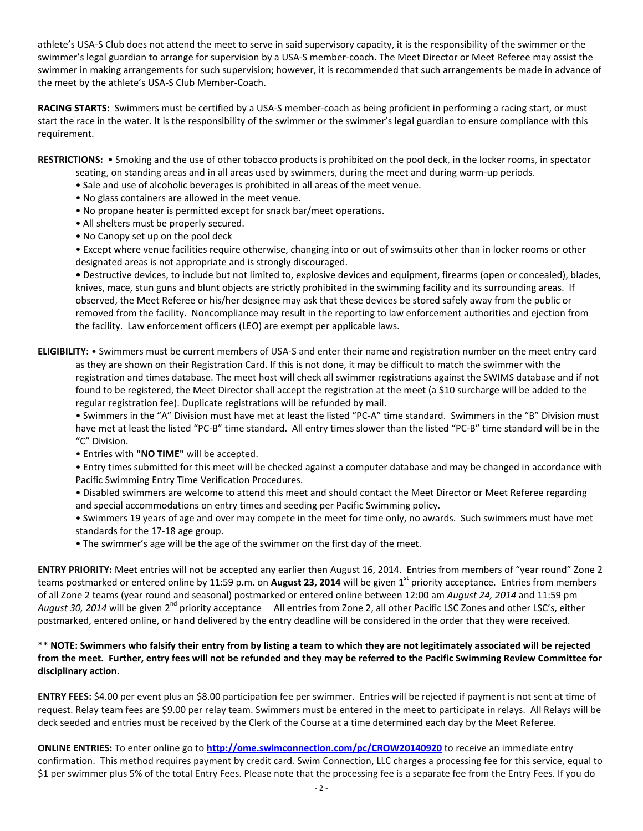athlete's USA-S Club does not attend the meet to serve in said supervisory capacity, it is the responsibility of the swimmer or the swimmer's legal guardian to arrange for supervision by a USA-S member-coach. The Meet Director or Meet Referee may assist the swimmer in making arrangements for such supervision; however, it is recommended that such arrangements be made in advance of the meet by the athlete's USA-S Club Member-Coach.

**RACING STARTS:** Swimmers must be certified by a USA-S member-coach as being proficient in performing a racing start, or must start the race in the water. It is the responsibility of the swimmer or the swimmer's legal guardian to ensure compliance with this requirement.

**RESTRICTIONS:** • Smoking and the use of other tobacco products is prohibited on the pool deck, in the locker rooms, in spectator

- seating, on standing areas and in all areas used by swimmers, during the meet and during warm-up periods.
- Sale and use of alcoholic beverages is prohibited in all areas of the meet venue.
- No glass containers are allowed in the meet venue.
- No propane heater is permitted except for snack bar/meet operations.
- All shelters must be properly secured.
- No Canopy set up on the pool deck

• Except where venue facilities require otherwise, changing into or out of swimsuits other than in locker rooms or other designated areas is not appropriate and is strongly discouraged.

**•** Destructive devices, to include but not limited to, explosive devices and equipment, firearms (open or concealed), blades, knives, mace, stun guns and blunt objects are strictly prohibited in the swimming facility and its surrounding areas. If observed, the Meet Referee or his/her designee may ask that these devices be stored safely away from the public or removed from the facility. Noncompliance may result in the reporting to law enforcement authorities and ejection from the facility. Law enforcement officers (LEO) are exempt per applicable laws.

### **ELIGIBILITY:** • Swimmers must be current members of USA-S and enter their name and registration number on the meet entry card as they are shown on their Registration Card. If this is not done, it may be difficult to match the swimmer with the registration and times database. The meet host will check all swimmer registrations against the SWIMS database and if not found to be registered, the Meet Director shall accept the registration at the meet (a \$10 surcharge will be added to the regular registration fee). Duplicate registrations will be refunded by mail.

• Swimmers in the "A" Division must have met at least the listed "PC-A" time standard. Swimmers in the "B" Division must have met at least the listed "PC-B" time standard. All entry times slower than the listed "PC-B" time standard will be in the "C" Division.

• Entries with **"NO TIME"** will be accepted.

• Entry times submitted for this meet will be checked against a computer database and may be changed in accordance with Pacific Swimming Entry Time Verification Procedures.

- Disabled swimmers are welcome to attend this meet and should contact the Meet Director or Meet Referee regarding and special accommodations on entry times and seeding per Pacific Swimming policy.
- Swimmers 19 years of age and over may compete in the meet for time only, no awards. Such swimmers must have met standards for the 17-18 age group.
- The swimmer's age will be the age of the swimmer on the first day of the meet.

**ENTRY PRIORITY:** Meet entries will not be accepted any earlier then August 16, 2014. Entries from members of "year round" Zone 2 teams postmarked or entered online by 11:59 p.m. on **August 23, 2014** will be given 1<sup>st</sup> priority acceptance. Entries from members of all Zone 2 teams (year round and seasonal) postmarked or entered online between 12:00 am *August 24, 2014* and 11:59 pm *August 30, 2014* will be given 2nd priority acceptance All entries from Zone 2, all other Pacific LSC Zones and other LSC's, either postmarked, entered online, or hand delivered by the entry deadline will be considered in the order that they were received.

# **\*\* NOTE: Swimmers who falsify their entry from by listing a team to which they are not legitimately associated will be rejected from the meet. Further, entry fees will not be refunded and they may be referred to the Pacific Swimming Review Committee for disciplinary action.**

**ENTRY FEES:** \$4.00 per event plus an \$8.00 participation fee per swimmer. Entries will be rejected if payment is not sent at time of request. Relay team fees are \$9.00 per relay team. Swimmers must be entered in the meet to participate in relays. All Relays will be deck seeded and entries must be received by the Clerk of the Course at a time determined each day by the Meet Referee.

**ONLINE ENTRIES:** To enter online go to **<http://ome.swimconnection.com/pc/CROW20140920>** to receive an immediate entry confirmation. This method requires payment by credit card. Swim Connection, LLC charges a processing fee for this service, equal to \$1 per swimmer plus 5% of the total Entry Fees. Please note that the processing fee is a separate fee from the Entry Fees. If you do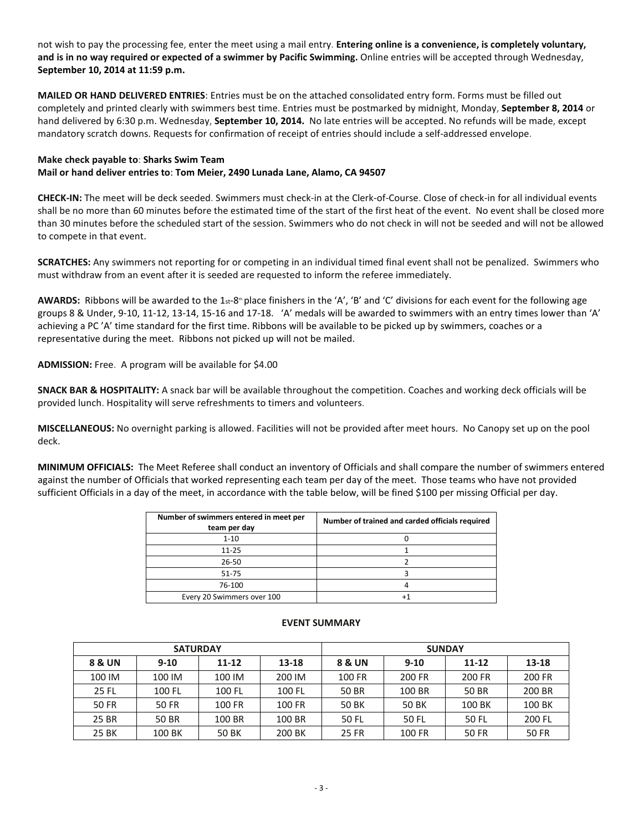not wish to pay the processing fee, enter the meet using a mail entry. **Entering online is a convenience, is completely voluntary, and is in no way required or expected of a swimmer by Pacific Swimming.** Online entries will be accepted through Wednesday, **September 10, 2014 at 11:59 p.m.**

**MAILED OR HAND DELIVERED ENTRIES**: Entries must be on the attached consolidated entry form. Forms must be filled out completely and printed clearly with swimmers best time. Entries must be postmarked by midnight, Monday, **September 8, 2014** or hand delivered by 6:30 p.m. Wednesday, **September 10, 2014.** No late entries will be accepted. No refunds will be made, except mandatory scratch downs. Requests for confirmation of receipt of entries should include a self-addressed envelope.

# **Make check payable to**: **Sharks Swim Team Mail or hand deliver entries to**: **Tom Meier, 2490 Lunada Lane, Alamo, CA 94507**

**CHECK-IN:** The meet will be deck seeded. Swimmers must check-in at the Clerk-of-Course. Close of check-in for all individual events shall be no more than 60 minutes before the estimated time of the start of the first heat of the event. No event shall be closed more than 30 minutes before the scheduled start of the session. Swimmers who do not check in will not be seeded and will not be allowed to compete in that event.

**SCRATCHES:** Any swimmers not reporting for or competing in an individual timed final event shall not be penalized. Swimmers who must withdraw from an event after it is seeded are requested to inform the referee immediately.

**AWARDS:** Ribbons will be awarded to the 1st-8<sup>th</sup> place finishers in the 'A', 'B' and 'C' divisions for each event for the following age groups 8 & Under, 9-10, 11-12, 13-14, 15-16 and 17-18. 'A' medals will be awarded to swimmers with an entry times lower than 'A' achieving a PC 'A' time standard for the first time. Ribbons will be available to be picked up by swimmers, coaches or a representative during the meet. Ribbons not picked up will not be mailed.

**ADMISSION:** Free. A program will be available for \$4.00

**SNACK BAR & HOSPITALITY:** A snack bar will be available throughout the competition. Coaches and working deck officials will be provided lunch. Hospitality will serve refreshments to timers and volunteers.

**MISCELLANEOUS:** No overnight parking is allowed. Facilities will not be provided after meet hours. No Canopy set up on the pool deck.

**MINIMUM OFFICIALS:** The Meet Referee shall conduct an inventory of Officials and shall compare the number of swimmers entered against the number of Officials that worked representing each team per day of the meet. Those teams who have not provided sufficient Officials in a day of the meet, in accordance with the table below, will be fined \$100 per missing Official per day.

| Number of swimmers entered in meet per<br>team per day | Number of trained and carded officials required |
|--------------------------------------------------------|-------------------------------------------------|
| $1 - 10$                                               |                                                 |
| $11 - 25$                                              |                                                 |
| $26 - 50$                                              |                                                 |
| 51-75                                                  |                                                 |
| 76-100                                                 |                                                 |
| Every 20 Swimmers over 100                             |                                                 |

|              | <b>SATURDAY</b> |           |           | <b>SUNDAY</b> |        |           |              |  |  |
|--------------|-----------------|-----------|-----------|---------------|--------|-----------|--------------|--|--|
| 8 & UN       | $9 - 10$        | $11 - 12$ | $13 - 18$ | 8 & UN        | $9-10$ | $11 - 12$ | 13-18        |  |  |
| 100 IM       | 100 IM          | 100 IM    | 200 IM    | 100 FR        | 200 FR | 200 FR    | 200 FR       |  |  |
| 25 FL        | 100 FL          | 100 FL    | 100 FL    | 50 BR         | 100 BR | 50 BR     | 200 BR       |  |  |
| <b>50 FR</b> | 50 FR           | 100 FR    | 100 FR    | 50 BK         | 50 BK  | 100 BK    | 100 BK       |  |  |
| 25 BR        | 50 BR           | 100 BR    | 100 BR    | 50 FL         | 50 FL  | 50 FL     | 200 FL       |  |  |
| 25 BK        | 100 BK          | 50 BK     | 200 BK    | 25 FR         | 100 FR | 50 FR     | <b>50 FR</b> |  |  |

#### **EVENT SUMMARY**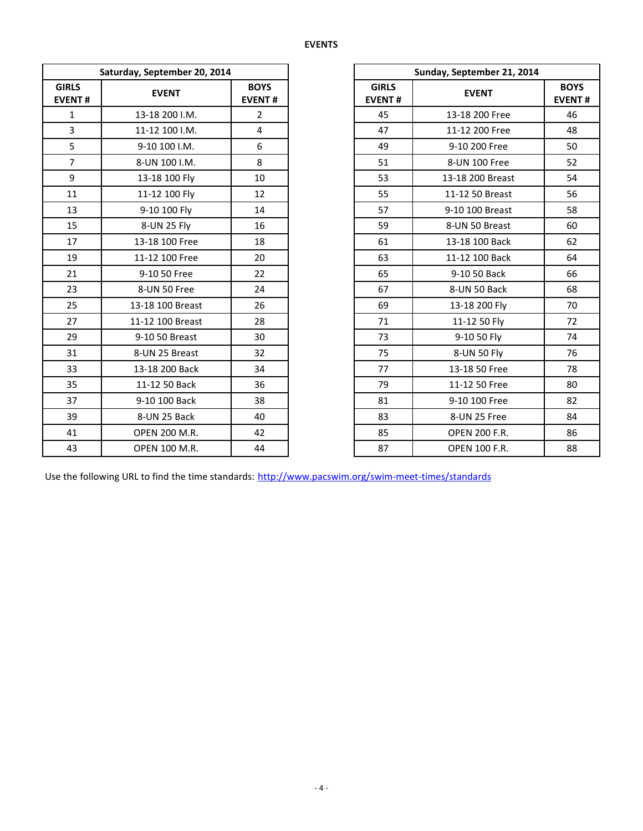| Saturday, September 20, 2014  |                      |                              |                               | Sunday, September 21, 2014 |
|-------------------------------|----------------------|------------------------------|-------------------------------|----------------------------|
| <b>GIRLS</b><br><b>EVENT#</b> | <b>EVENT</b>         | <b>BOYS</b><br><b>EVENT#</b> | <b>GIRLS</b><br><b>EVENT#</b> | <b>EVENT</b>               |
| $\mathbf{1}$                  | 13-18 200 I.M.       | $\overline{2}$               | 45                            | 13-18 200 Free             |
| $\overline{3}$                | 11-12 100 I.M.       | $\overline{4}$               | 47                            | 11-12 200 Free             |
| 5                             | 9-10 100 I.M.        | 6                            | 49                            | 9-10 200 Free              |
| $\overline{7}$                | 8-UN 100 I.M.        | 8                            | 51                            | 8-UN 100 Free              |
| 9                             | 13-18 100 Fly        | 10                           | 53                            | 13-18 200 Breast           |
| 11                            | 11-12 100 Fly        | 12                           | 55                            | 11-12 50 Breast            |
| 13                            | 9-10 100 Fly         | 14                           | 57                            | 9-10 100 Breast            |
| 15                            | 8-UN 25 Fly          | 16                           | 59                            | 8-UN 50 Breast             |
| 17                            | 13-18 100 Free       | 18                           | 61                            | 13-18 100 Back             |
| 19                            | 11-12 100 Free       | 20                           | 63                            | 11-12 100 Back             |
| 21                            | 9-10 50 Free         | 22                           | 65                            | 9-10 50 Back               |
| 23                            | 8-UN 50 Free         | 24                           | 67                            | 8-UN 50 Back               |
| 25                            | 13-18 100 Breast     | 26                           | 69                            | 13-18 200 Fly              |
| 27                            | 11-12 100 Breast     | 28                           | 71                            | 11-12 50 Fly               |
| 29                            | 9-10 50 Breast       | 30                           | 73                            | 9-10 50 Fly                |
| 31                            | 8-UN 25 Breast       | 32                           | 75                            | 8-UN 50 Fly                |
| 33                            | 13-18 200 Back       | 34                           | 77                            | 13-18 50 Free              |
| 35                            | 11-12 50 Back        | 36                           | 79                            | 11-12 50 Free              |
| 37                            | 9-10 100 Back        | 38                           | 81                            | 9-10 100 Free              |
| 39                            | 8-UN 25 Back         | 40                           | 83                            | 8-UN 25 Free               |
| 41                            | <b>OPEN 200 M.R.</b> | 42                           | 85                            | <b>OPEN 200 F.R.</b>       |
| 43                            | <b>OPEN 100 M.R.</b> | 44                           | 87                            | <b>OPEN 100 F.R.</b>       |

| Saturday, September 20, 2014 |                              |  |
|------------------------------|------------------------------|--|
| <b>EVENT</b>                 | <b>BOYS</b><br><b>EVENT#</b> |  |
| 13-18 200 I.M.               | $\overline{2}$               |  |
| 11-12 100 I.M.               | $\overline{4}$               |  |
| 9-10 100 I.M.                | 6                            |  |
| 8-UN 100 I.M.                | 8                            |  |
| 13-18 100 Fly                | 10                           |  |
| 11-12 100 Fly                | 12                           |  |
| 9-10 100 Fly                 | 14                           |  |
| 8-UN 25 Fly                  | 16                           |  |
| 13-18 100 Free               | 18                           |  |
| 11-12 100 Free               | 20                           |  |
| 9-10 50 Free                 | 22                           |  |
| 8-UN 50 Free                 | 24                           |  |
| 13-18 100 Breast             | 26                           |  |
| 11-12 100 Breast             | 28                           |  |
| 9-10 50 Breast               | 30                           |  |
| 8-UN 25 Breast               | 32                           |  |
| 13-18 200 Back               | 34                           |  |
| 11-12 50 Back                | 36                           |  |
| 9-10 100 Back                | 38                           |  |
| 8-UN 25 Back                 | 40                           |  |
| <b>OPEN 200 M.R.</b>         | 42                           |  |
| <b>OPEN 100 M.R.</b>         | 44                           |  |
|                              |                              |  |

Use the following URL to find the time standards: <http://www.pacswim.org/swim-meet-times/standards>